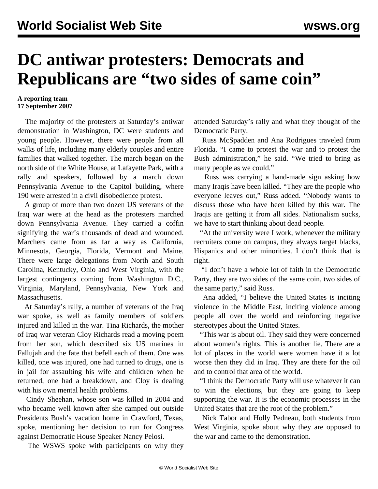## **DC antiwar protesters: Democrats and Republicans are "two sides of same coin"**

## **A reporting team 17 September 2007**

 The majority of the protesters at Saturday's antiwar demonstration in Washington, DC were students and young people. However, there were people from all walks of life, including many elderly couples and entire families that walked together. The march began on the north side of the White House, at Lafayette Park, with a rally and speakers, followed by a march down Pennsylvania Avenue to the Capitol building, where 190 were arrested in a civil disobedience protest.

 A group of more than two dozen US veterans of the Iraq war were at the head as the protesters marched down Pennsylvania Avenue. They carried a coffin signifying the war's thousands of dead and wounded. Marchers came from as far a way as California, Minnesota, Georgia, Florida, Vermont and Maine. There were large delegations from North and South Carolina, Kentucky, Ohio and West Virginia, with the largest contingents coming from Washington D.C., Virginia, Maryland, Pennsylvania, New York and Massachusetts.

 At Saturday's rally, a number of veterans of the Iraq war spoke, as well as family members of soldiers injured and killed in the war. Tina Richards, the mother of Iraq war veteran Cloy Richards read a moving poem from her son, which described six US marines in Fallujah and the fate that befell each of them. One was killed, one was injured, one had turned to drugs, one is in jail for assaulting his wife and children when he returned, one had a breakdown, and Cloy is dealing with his own mental health problems.

 Cindy Sheehan, whose son was killed in 2004 and who became well known after she camped out outside Presidents Bush's vacation home in Crawford, Texas, spoke, mentioning her decision to run for Congress against Democratic House Speaker Nancy Pelosi.

The WSWS spoke with participants on why they

attended Saturday's rally and what they thought of the Democratic Party.

Russ McSpadden and Ana Rodrigues traveled from Florida. "I came to protest the war and to protest the Bush administration," he said. "We tried to bring as many people as we could."

 Russ was carrying a hand-made sign asking how many Iraqis have been killed. "They are the people who everyone leaves out," Russ added. "Nobody wants to discuss those who have been killed by this war. The Iraqis are getting it from all sides. Nationalism sucks, we have to start thinking about dead people.

 "At the university were I work, whenever the military recruiters come on campus, they always target blacks, Hispanics and other minorities. I don't think that is right.

Party, they are two sides of the same coin, two sides of "I don't have a whole lot of faith in the Democratic the same party," said Russ.

 Ana added, "I believe the United States is inciting violence in the Middle East, inciting violence among people all over the world and reinforcing negative stereotypes about the United States.

 "This war is about oil. They said they were concerned about women's rights. This is another lie. There are a lot of places in the world were women have it a lot worse then they did in Iraq. They are there for the oil and to control that area of the world.

 "I think the Democratic Party will use whatever it can to win the elections, but they are going to keep supporting the war. It is the economic processes in the United States that are the root of the problem."

 Nick Tabor and Holly Pedneau, both students from West Virginia, spoke about why they are opposed to the war and came to the demonstration.